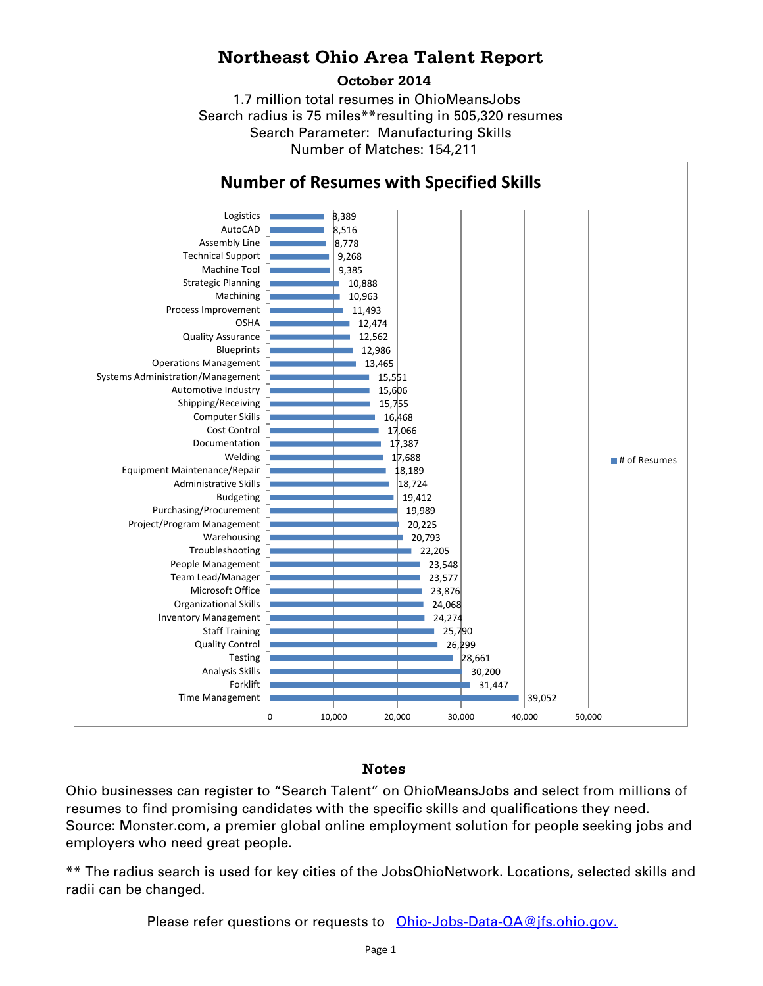## **Northeast Ohio Area Talent Report**

#### **October 2014**

1.7 million total resumes in OhioMeansJobs Search radius is 75 miles\*\*resulting in 505,320 resumes Number of Matches: 154,211 Search Parameter: Manufacturing Skills



### Notes

Ohio businesses can register to "Search Talent" on OhioMeansJobs and select from millions of resumes to find promising candidates with the specific skills and qualifications they need. Source: Monster.com, a premier global online employment solution for people seeking jobs and employers who need great people.

\*\* The radius search is used for key cities of the JobsOhioNetwork. Locations, selected skills and radii can be changed.

Please refer questions or requests to [Ohio-Jobs-Data-QA@jfs.ohio.gov.](mailto:Ohio-Jobs-Data-QA@jfs.ohio.gov.)